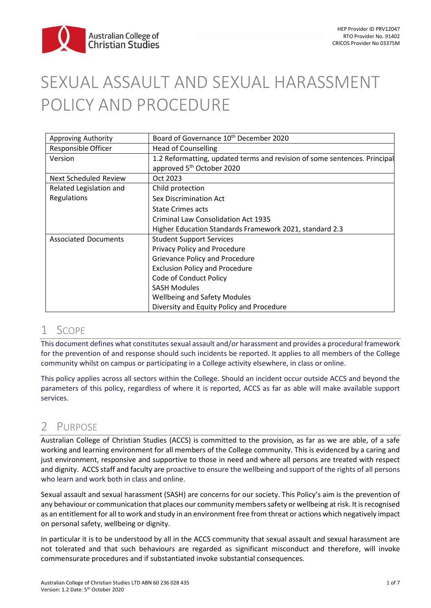

# SEXUAL ASSAULT AND SEXUAL HARASSMENT POLICY AND PROCEDURE

| Approving Authority         | Board of Governance 10 <sup>th</sup> December 2020                        |
|-----------------------------|---------------------------------------------------------------------------|
| Responsible Officer         | <b>Head of Counselling</b>                                                |
| Version                     | 1.2 Reformatting, updated terms and revision of some sentences. Principal |
|                             | approved 5 <sup>th</sup> October 2020                                     |
| Next Scheduled Review       | Oct 2023                                                                  |
| Related Legislation and     | Child protection                                                          |
| Regulations                 | Sex Discrimination Act                                                    |
|                             | <b>State Crimes acts</b>                                                  |
|                             | <b>Criminal Law Consolidation Act 1935</b>                                |
|                             | Higher Education Standards Framework 2021, standard 2.3                   |
| <b>Associated Documents</b> | <b>Student Support Services</b>                                           |
|                             | Privacy Policy and Procedure                                              |
|                             | Grievance Policy and Procedure                                            |
|                             | <b>Exclusion Policy and Procedure</b>                                     |
|                             | Code of Conduct Policy                                                    |
|                             | <b>SASH Modules</b>                                                       |
|                             | <b>Wellbeing and Safety Modules</b>                                       |
|                             | Diversity and Equity Policy and Procedure                                 |

### 1 SCOPE

This document defines what constitutes sexual assault and/or harassment and provides a procedural framework for the prevention of and response should such incidents be reported. It applies to all members of the College community whilst on campus or participating in a College activity elsewhere, in class or online.

This policy applies across all sectors within the College. Should an incident occur outside ACCS and beyond the parameters of this policy, regardless of where it is reported, ACCS as far as able will make available support services.

# 2 PURPOSE

Australian College of Christian Studies (ACCS) is committed to the provision, as far as we are able, of a safe working and learning environment for all members of the College community. This is evidenced by a caring and just environment, responsive and supportive to those in need and where all persons are treated with respect and dignity. ACCS staff and faculty are proactive to ensure the wellbeing and support of the rights of all persons who learn and work both in class and online.

Sexual assault and sexual harassment (SASH) are concerns for our society. This Policy's aim is the prevention of any behaviour or communication that places our community members safety or wellbeing at risk. It is recognised as an entitlement for all to work and study in an environment free from threat or actions which negatively impact on personal safety, wellbeing or dignity.

In particular it is to be understood by all in the ACCS community that sexual assault and sexual harassment are not tolerated and that such behaviours are regarded as significant misconduct and therefore, will invoke commensurate procedures and if substantiated invoke substantial consequences.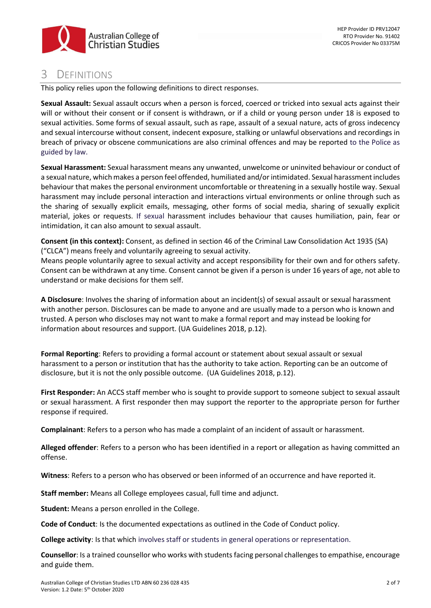

## 3 DEFINITIONS

This policy relies upon the following definitions to direct responses.

**Sexual Assault:** Sexual assault occurs when a person is forced, coerced or tricked into sexual acts against their will or without their consent or if consent is withdrawn, or if a child or young person under 18 is exposed to sexual activities. Some forms of sexual assault, such as rape, assault of a sexual nature, acts of gross indecency and sexual intercourse without consent, indecent exposure, stalking or unlawful observations and recordings in breach of privacy or obscene communications are also criminal offences and may be reported to the Police as guided by law.

**Sexual Harassment:** Sexual harassment means any unwanted, unwelcome or uninvited behaviour or conduct of a sexual nature, which makes a person feel offended, humiliated and/or intimidated. Sexual harassment includes behaviour that makes the personal environment uncomfortable or threatening in a sexually hostile way. Sexual harassment may include personal interaction and interactions virtual environments or online through such as the sharing of sexually explicit emails, messaging, other forms of social media, sharing of sexually explicit material, jokes or requests. If sexual harassment includes behaviour that causes humiliation, pain, fear or intimidation, it can also amount to sexual assault.

**Consent (in this context):** Consent, as defined in section 46 of the Criminal Law Consolidation Act 1935 (SA) ("CLCA") means freely and voluntarily agreeing to sexual activity.

Means people voluntarily agree to sexual activity and accept responsibility for their own and for others safety. Consent can be withdrawn at any time. Consent cannot be given if a person is under 16 years of age, not able to understand or make decisions for them self.

**A Disclosure**: Involves the sharing of information about an incident(s) of sexual assault or sexual harassment with another person. Disclosures can be made to anyone and are usually made to a person who is known and trusted. A person who discloses may not want to make a formal report and may instead be looking for information about resources and support. (UA Guidelines 2018, p.12).

**Formal Reporting**: Refers to providing a formal account or statement about sexual assault or sexual harassment to a person or institution that has the authority to take action. Reporting can be an outcome of disclosure, but it is not the only possible outcome. (UA Guidelines 2018, p.12).

**First Responder:** An ACCS staff member who is sought to provide support to someone subject to sexual assault or sexual harassment. A first responder then may support the reporter to the appropriate person for further response if required.

**Complainant**: Refers to a person who has made a complaint of an incident of assault or harassment.

**Alleged offender**: Refers to a person who has been identified in a report or allegation as having committed an offense.

**Witness**: Refers to a person who has observed or been informed of an occurrence and have reported it.

**Staff member:** Means all College employees casual, full time and adjunct.

**Student:** Means a person enrolled in the College.

**Code of Conduct**: Is the documented expectations as outlined in the Code of Conduct policy.

**College activity**: Is that which involves staff or students in general operations or representation.

**Counsellor**: Is a trained counsellor who works with students facing personal challenges to empathise, encourage and guide them.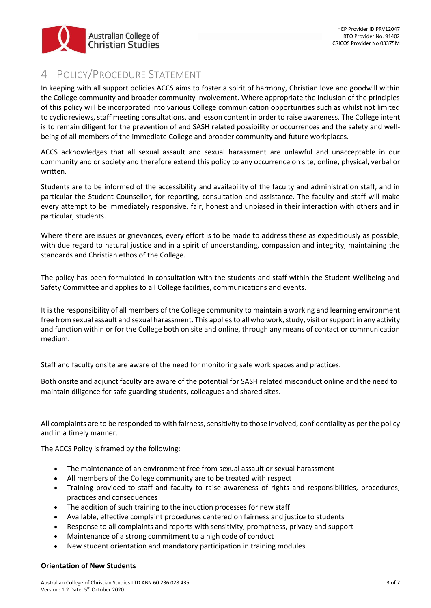

# 4 POLICY/PROCEDURE STATEMENT

In keeping with all support policies ACCS aims to foster a spirit of harmony, Christian love and goodwill within the College community and broader community involvement. Where appropriate the inclusion of the principles of this policy will be incorporated into various College communication opportunities such as whilst not limited to cyclic reviews, staff meeting consultations, and lesson content in order to raise awareness. The College intent is to remain diligent for the prevention of and SASH related possibility or occurrences and the safety and wellbeing of all members of the immediate College and broader community and future workplaces.

ACCS acknowledges that all sexual assault and sexual harassment are unlawful and unacceptable in our community and or society and therefore extend this policy to any occurrence on site, online, physical, verbal or written.

Students are to be informed of the accessibility and availability of the faculty and administration staff, and in particular the Student Counsellor, for reporting, consultation and assistance. The faculty and staff will make every attempt to be immediately responsive, fair, honest and unbiased in their interaction with others and in particular, students.

Where there are issues or grievances, every effort is to be made to address these as expeditiously as possible, with due regard to natural justice and in a spirit of understanding, compassion and integrity, maintaining the standards and Christian ethos of the College.

The policy has been formulated in consultation with the students and staff within the Student Wellbeing and Safety Committee and applies to all College facilities, communications and events.

It is the responsibility of all members of the College community to maintain a working and learning environment free from sexual assault and sexual harassment. This applies to all who work, study, visit or support in any activity and function within or for the College both on site and online, through any means of contact or communication medium.

Staff and faculty onsite are aware of the need for monitoring safe work spaces and practices.

Both onsite and adjunct faculty are aware of the potential for SASH related misconduct online and the need to maintain diligence for safe guarding students, colleagues and shared sites.

All complaints are to be responded to with fairness, sensitivity to those involved, confidentiality as per the policy and in a timely manner.

The ACCS Policy is framed by the following:

- The maintenance of an environment free from sexual assault or sexual harassment
- All members of the College community are to be treated with respect
- Training provided to staff and faculty to raise awareness of rights and responsibilities, procedures, practices and consequences
- The addition of such training to the induction processes for new staff
- Available, effective complaint procedures centered on fairness and justice to students
- Response to all complaints and reports with sensitivity, promptness, privacy and support
- Maintenance of a strong commitment to a high code of conduct
- New student orientation and mandatory participation in training modules

### **Orientation of New Students**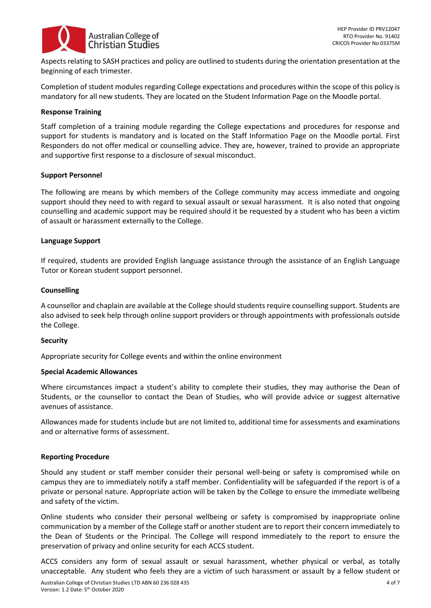

Aspects relating to SASH practices and policy are outlined to students during the orientation presentation at the beginning of each trimester.

Completion of student modules regarding College expectations and procedures within the scope of this policy is mandatory for all new students. They are located on the Student Information Page on the Moodle portal.

#### **Response Training**

Staff completion of a training module regarding the College expectations and procedures for response and support for students is mandatory and is located on the Staff Information Page on the Moodle portal. First Responders do not offer medical or counselling advice. They are, however, trained to provide an appropriate and supportive first response to a disclosure of sexual misconduct.

#### **Support Personnel**

The following are means by which members of the College community may access immediate and ongoing support should they need to with regard to sexual assault or sexual harassment. It is also noted that ongoing counselling and academic support may be required should it be requested by a student who has been a victim of assault or harassment externally to the College.

#### **Language Support**

If required, students are provided English language assistance through the assistance of an English Language Tutor or Korean student support personnel.

#### **Counselling**

A counsellor and chaplain are available at the College should students require counselling support. Students are also advised to seek help through online support providers or through appointments with professionals outside the College.

#### **Security**

Appropriate security for College events and within the online environment

#### **Special Academic Allowances**

Where circumstances impact a student's ability to complete their studies, they may authorise the Dean of Students, or the counsellor to contact the Dean of Studies, who will provide advice or suggest alternative avenues of assistance.

Allowances made for students include but are not limited to, additional time for assessments and examinations and or alternative forms of assessment.

#### **Reporting Procedure**

Should any student or staff member consider their personal well-being or safety is compromised while on campus they are to immediately notify a staff member. Confidentiality will be safeguarded if the report is of a private or personal nature. Appropriate action will be taken by the College to ensure the immediate wellbeing and safety of the victim.

Online students who consider their personal wellbeing or safety is compromised by inappropriate online communication by a member of the College staff or another student are to report their concern immediately to the Dean of Students or the Principal. The College will respond immediately to the report to ensure the preservation of privacy and online security for each ACCS student.

ACCS considers any form of sexual assault or sexual harassment, whether physical or verbal, as totally unacceptable. Any student who feels they are a victim of such harassment or assault by a fellow student or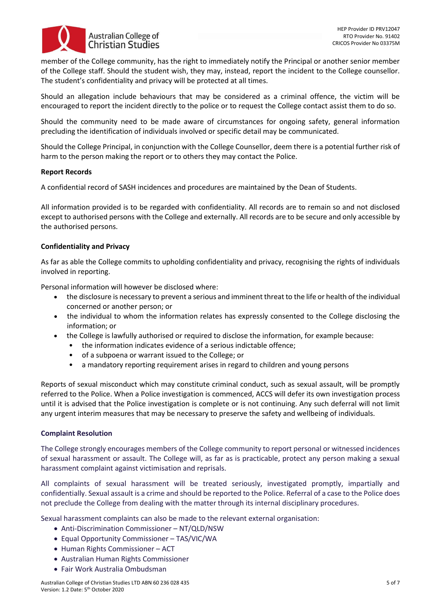

member of the College community, has the right to immediately notify the Principal or another senior member of the College staff. Should the student wish, they may, instead, report the incident to the College counsellor. The student's confidentiality and privacy will be protected at all times.

Should an allegation include behaviours that may be considered as a criminal offence, the victim will be encouraged to report the incident directly to the police or to request the College contact assist them to do so.

Should the community need to be made aware of circumstances for ongoing safety, general information precluding the identification of individuals involved or specific detail may be communicated.

Should the College Principal, in conjunction with the College Counsellor, deem there is a potential further risk of harm to the person making the report or to others they may contact the Police.

#### **Report Records**

A confidential record of SASH incidences and procedures are maintained by the Dean of Students.

All information provided is to be regarded with confidentiality. All records are to remain so and not disclosed except to authorised persons with the College and externally. All records are to be secure and only accessible by the authorised persons.

#### **Confidentiality and Privacy**

As far as able the College commits to upholding confidentiality and privacy, recognising the rights of individuals involved in reporting.

Personal information will however be disclosed where:

- the disclosure is necessary to prevent a serious and imminent threat to the life or health of the individual concerned or another person; or
- the individual to whom the information relates has expressly consented to the College disclosing the information; or
- the College is lawfully authorised or required to disclose the information, for example because:
	- the information indicates evidence of a serious indictable offence;
	- of a subpoena or warrant issued to the College; or
	- a mandatory reporting requirement arises in regard to children and young persons

Reports of sexual misconduct which may constitute criminal conduct, such as sexual assault, will be promptly referred to the Police. When a Police investigation is commenced, ACCS will defer its own investigation process until it is advised that the Police investigation is complete or is not continuing. Any such deferral will not limit any urgent interim measures that may be necessary to preserve the safety and wellbeing of individuals.

#### **Complaint Resolution**

The College strongly encourages members of the College community to report personal or witnessed incidences of sexual harassment or assault. The College will, as far as is practicable, protect any person making a sexual harassment complaint against victimisation and reprisals.

All complaints of sexual harassment will be treated seriously, investigated promptly, impartially and confidentially. Sexual assault is a crime and should be reported to the Police. Referral of a case to the Police does not preclude the College from dealing with the matter through its internal disciplinary procedures.

Sexual harassment complaints can also be made to the relevant external organisation:

- Anti-Discrimination Commissioner NT/QLD/NSW
- Equal Opportunity Commissioner TAS/VIC/WA
- Human Rights Commissioner ACT
- Australian Human Rights Commissioner
- Fair Work Australia Ombudsman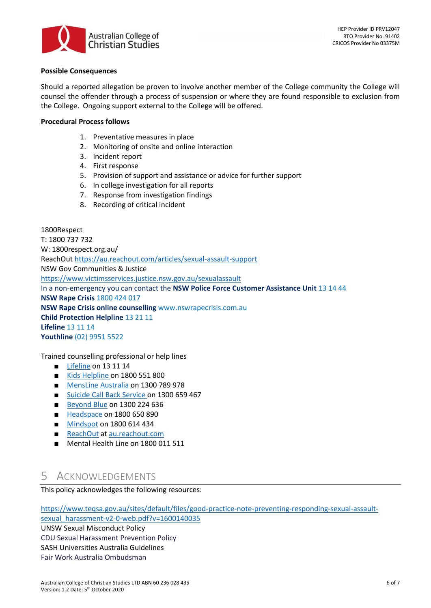

### **Possible Consequences**

Should a reported allegation be proven to involve another member of the College community the College will counsel the offender through a process of suspension or where they are found responsible to exclusion from the College. Ongoing support external to the College will be offered.

### **Procedural Process follows**

- 1. Preventative measures in place
- 2. Monitoring of onsite and online interaction
- 3. Incident report
- 4. First response
- 5. Provision of support and assistance or advice for further support
- 6. In college investigation for all reports
- 7. Response from investigation findings
- 8. Recording of critical incident

### 1800Respect T: 1800 737 732 W: 1800respect.org.au/ ReachOut<https://au.reachout.com/articles/sexual-assault-support> NSW Gov Communities & Justice <https://www.victimsservices.justice.nsw.gov.au/sexualassault> In a non-emergency you can contact the **NSW Police Force Customer Assistance Unit** 13 14 44 **NSW Rape Crisis** 1800 424 017 **NSW Rape Crisis online counselling** [www.nswrapecrisis.com.au](http://www.nswrapecrisis.com.au/) **Child Protection Helpline** 13 21 11 **Lifeline** 13 11 14 **Youthline** (02) 9951 5522

Trained counselling professional or help lines

- [Lifeline](https://www.lifeline.org.au/) on 13 11 14
- [Kids Helpline](http://www.kidshelp.com.au/) on 1800 551 800
- [MensLine Australia](http://www.mensline.org.au/Home.html) on 1300 789 978
- [Suicide Call Back Service](http://www.suicidecallbackservice.org.au/) on 1300 659 467
- [Beyond Blue](https://www.beyondblue.org.au/) on 1300 224 636
- [Headspace](https://headspace.org.au/) on 1800 650 890
- [M](https://au.reachout.com/)[indspot](https://mindspot.org.au/) on 1800 614 434
- [ReachOut](https://au.reachout.com/) at [au.reachout.com](https://au.reachout.com/)
- Mental Health Line on 1800 011 511

# 5 ACKNOWLEDGEMENTS

This policy acknowledges the following resources:

[https://www.teqsa.gov.au/sites/default/files/good-practice-note-preventing-responding-sexual-assault](https://www.teqsa.gov.au/sites/default/files/good-practice-note-preventing-responding-sexual-assault-sexual_harassment-v2-0-web.pdf?v=1600140035)[sexual\\_harassment-v2-0-web.pdf?v=1600140035](https://www.teqsa.gov.au/sites/default/files/good-practice-note-preventing-responding-sexual-assault-sexual_harassment-v2-0-web.pdf?v=1600140035)

UNSW Sexual Misconduct Policy CDU Sexual Harassment Prevention Policy SASH Universities Australia Guidelines Fair Work Australia Ombudsman